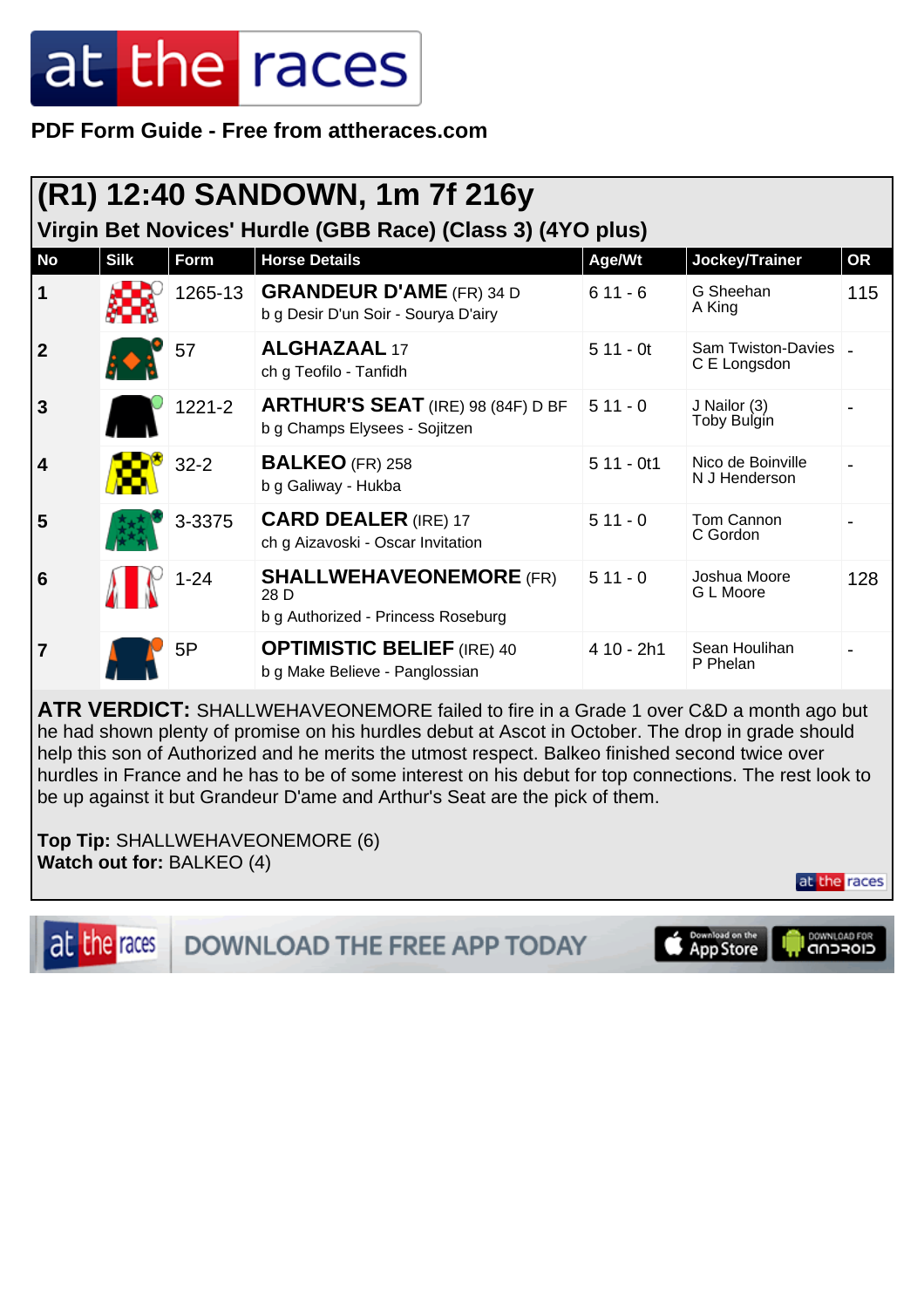**PDF Form Guide - Free from attheraces.com**

| (R1) 12:40 SANDOWN, 1m 7f 216y<br>Virgin Bet Novices' Hurdle (GBB Race) (Class 3) (4YO plus) |             |            |                                                                              |             |                                        |           |  |
|----------------------------------------------------------------------------------------------|-------------|------------|------------------------------------------------------------------------------|-------------|----------------------------------------|-----------|--|
| <b>No</b>                                                                                    | <b>Silk</b> | Form       | <b>Horse Details</b>                                                         | Age/Wt      | Jockey/Trainer                         | <b>OR</b> |  |
| $\mathbf 1$                                                                                  |             | 1265-13    | <b>GRANDEUR D'AME</b> (FR) 34 D<br>b g Desir D'un Soir - Sourya D'airy       | $611 - 6$   | G Sheehan<br>A King                    | 115       |  |
| $\boldsymbol{2}$                                                                             |             | 57         | <b>ALGHAZAAL 17</b><br>ch g Teofilo - Tanfidh                                | $511 - 0t$  | Sam Twiston-Davies   _<br>C E Longsdon |           |  |
| $\mathbf{3}$                                                                                 |             | $1221 - 2$ | <b>ARTHUR'S SEAT</b> (IRE) 98 (84F) D BF<br>b g Champs Elysees - Sojitzen    | $511 - 0$   | J Nailor (3)<br>Toby Bulgin            |           |  |
| $\overline{\mathbf{4}}$                                                                      |             | $32 - 2$   | <b>BALKEO</b> (FR) 258<br>b g Galiway - Hukba                                | $511 - 0t1$ | Nico de Boinville<br>N J Henderson     |           |  |
| 5                                                                                            |             | 3-3375     | <b>CARD DEALER (IRE) 17</b><br>ch g Aizavoski - Oscar Invitation             | $511 - 0$   | Tom Cannon<br>C Gordon                 |           |  |
| $6\phantom{1}6$                                                                              |             | $1 - 24$   | <b>SHALLWEHAVEONEMORE (FR)</b><br>28 D<br>b g Authorized - Princess Roseburg | $511 - 0$   | Joshua Moore<br>G L Moore              | 128       |  |
| 7                                                                                            |             | 5P         | <b>OPTIMISTIC BELIEF (IRE) 40</b><br>b g Make Believe - Panglossian          | 4 10 - 2h1  | Sean Houlihan<br>P Phelan              |           |  |

**ATR VERDICT:** SHALLWEHAVEONEMORE failed to fire in a Grade 1 over C&D a month ago but he had shown plenty of promise on his hurdles debut at Ascot in October. The drop in grade should help this son of Authorized and he merits the utmost respect. Balkeo finished second twice over hurdles in France and he has to be of some interest on his debut for top connections. The rest look to be up against it but Grandeur D'ame and Arthur's Seat are the pick of them.

**Top Tip:** SHALLWEHAVEONEMORE (6) **Watch out for:** BALKEO (4)

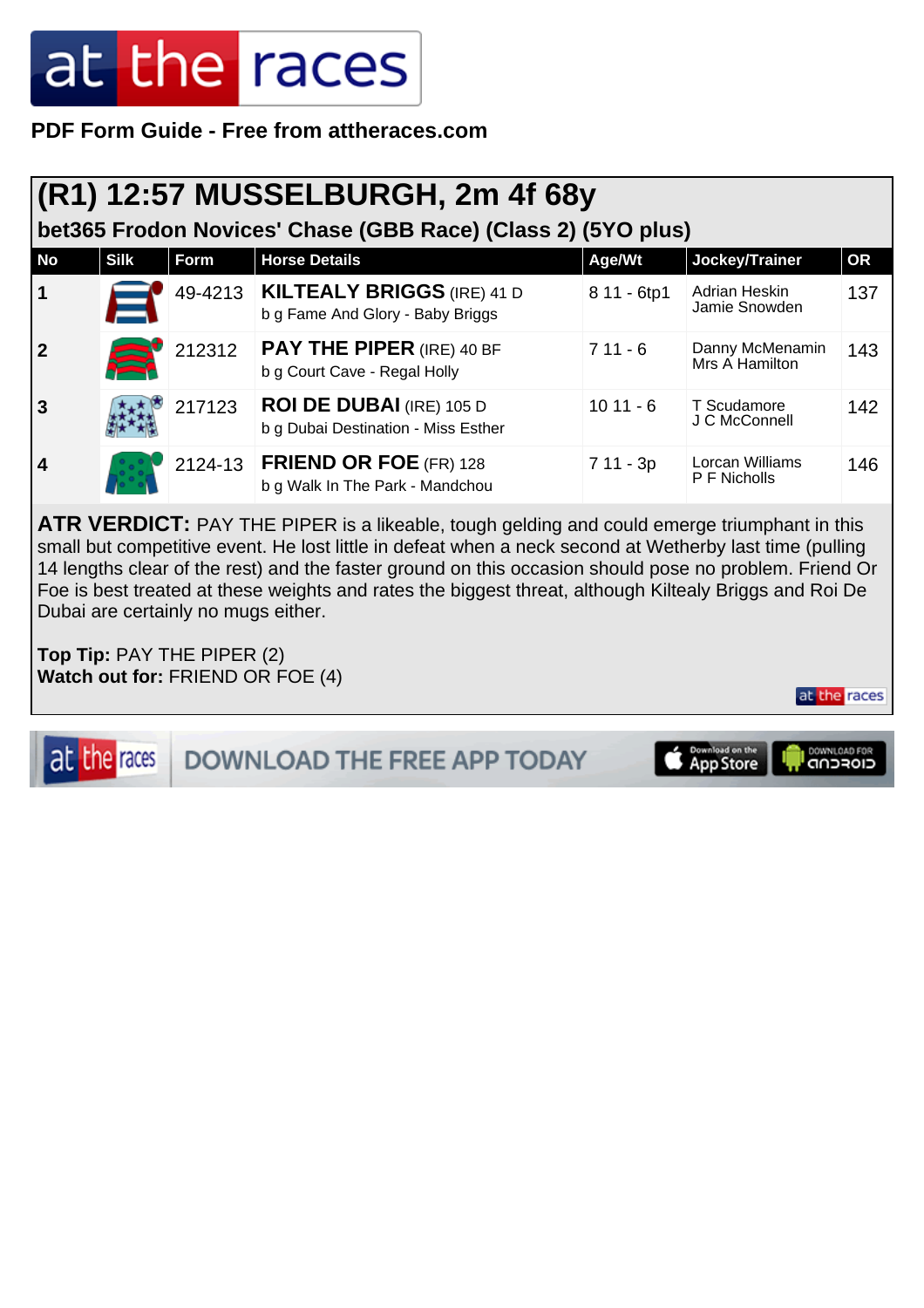#### **PDF Form Guide - Free from attheraces.com**

| <b>(R1) 12:57 MUSSELBURGH, 2m 4f 68y</b> |                                                              |        |                                                                          |             |                                   |           |  |
|------------------------------------------|--------------------------------------------------------------|--------|--------------------------------------------------------------------------|-------------|-----------------------------------|-----------|--|
|                                          | bet365 Frodon Novices' Chase (GBB Race) (Class 2) (5YO plus) |        |                                                                          |             |                                   |           |  |
| <b>No</b>                                | <b>Silk</b>                                                  | Form   | <b>Horse Details</b>                                                     | Age/Wt      | Jockey/Trainer                    | <b>OR</b> |  |
| $\vert$ 1                                |                                                              |        | 49-4213   KILTEALY BRIGGS (IRE) 41 D<br>b g Fame And Glory - Baby Briggs | 8 11 - 6tp1 | Adrian Heskin<br>Jamie Snowden    | 137       |  |
| 2                                        |                                                              | 212312 | <b>PAY THE PIPER (IRE) 40 BF</b><br>b g Court Cave - Regal Holly         | $711 - 6$   | Danny McMenamin<br>Mrs A Hamilton | 143       |  |
| <b>3</b>                                 |                                                              | 217123 | <b>ROI DE DUBAI</b> (IRE) 105 D<br>b g Dubai Destination - Miss Esther   | $1011 - 6$  | T Scudamore<br>J C McConnell      | 142       |  |
| $\overline{4}$                           |                                                              |        | 2124-13 <b>FRIEND OR FOE</b> (FR) 128<br>b g Walk In The Park - Mandchou | $711 - 3p$  | Lorcan Williams<br>P F Nicholls   | 146       |  |

ATR VERDICT: PAY THE PIPER is a likeable, tough gelding and could emerge triumphant in this small but competitive event. He lost little in defeat when a neck second at Wetherby last time (pulling 14 lengths clear of the rest) and the faster ground on this occasion should pose no problem. Friend Or Foe is best treated at these weights and rates the biggest threat, although Kiltealy Briggs and Roi De Dubai are certainly no mugs either.

**Top Tip:** PAY THE PIPER (2) **Watch out for:** FRIEND OR FOE (4)

DOWNLOAD FOR at the races Download on the DOWNLOAD THE FREE APP TODAY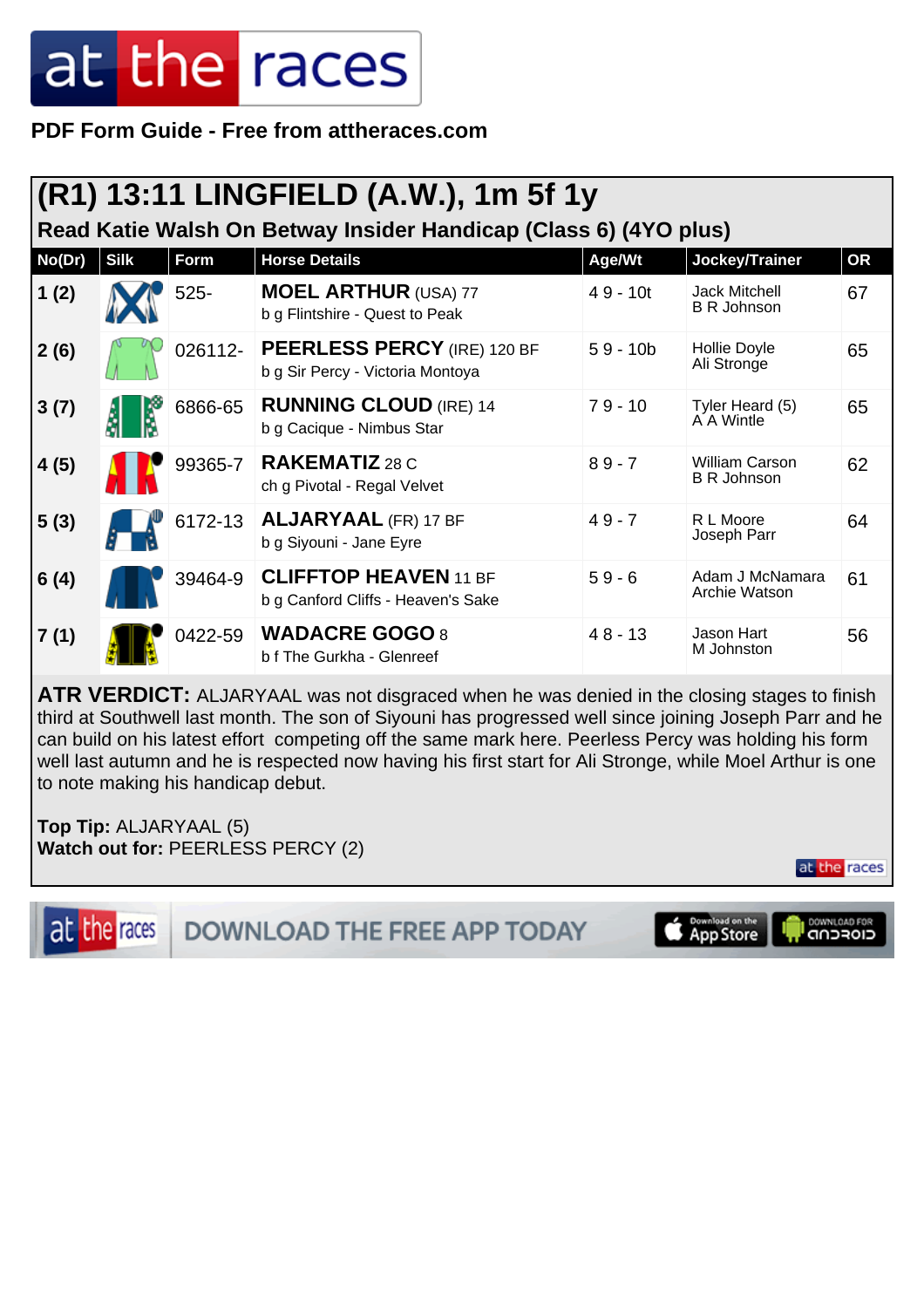**PDF Form Guide - Free from attheraces.com**

| <b>(R1) 13:11 LINGFIELD (A.W.), 1m 5f 1y</b>                     |             |         |                                                                    |            |                                             |           |  |  |
|------------------------------------------------------------------|-------------|---------|--------------------------------------------------------------------|------------|---------------------------------------------|-----------|--|--|
| Read Katie Walsh On Betway Insider Handicap (Class 6) (4YO plus) |             |         |                                                                    |            |                                             |           |  |  |
| No(Dr)                                                           | <b>Silk</b> | Form    | <b>Horse Details</b>                                               | Age/Wt     | Jockey/Trainer                              | <b>OR</b> |  |  |
| 1(2)                                                             |             | $525 -$ | <b>MOEL ARTHUR (USA) 77</b><br>b g Flintshire - Quest to Peak      | $49 - 10t$ | <b>Jack Mitchell</b><br><b>B R Johnson</b>  | 67        |  |  |
| 2(6)                                                             |             | 026112- | PEERLESS PERCY (IRE) 120 BF<br>b g Sir Percy - Victoria Montoya    | $59 - 10b$ | Hollie Doyle<br>Ali Stronge                 | 65        |  |  |
| 3(7)                                                             |             | 6866-65 | <b>RUNNING CLOUD (IRE) 14</b><br>b g Cacique - Nimbus Star         | $79 - 10$  | Tyler Heard (5)<br>A A Wintle               | 65        |  |  |
| 4(5)                                                             |             | 99365-7 | <b>RAKEMATIZ 28 C</b><br>ch g Pivotal - Regal Velvet               | $89 - 7$   | <b>William Carson</b><br><b>B R Johnson</b> | 62        |  |  |
| 5(3)                                                             |             | 6172-13 | <b>ALJARYAAL (FR) 17 BF</b><br>b g Siyouni - Jane Eyre             | $49 - 7$   | R L Moore<br>Joseph Parr                    | 64        |  |  |
| 6(4)                                                             |             | 39464-9 | <b>CLIFFTOP HEAVEN 11 BF</b><br>b g Canford Cliffs - Heaven's Sake | $59 - 6$   | Adam J McNamara<br>Archie Watson            | 61        |  |  |
| 7(1)                                                             |             | 0422-59 | <b>WADACRE GOGO 8</b><br>b f The Gurkha - Glenreef                 | $48 - 13$  | Jason Hart<br>M Johnston                    | 56        |  |  |

**ATR VERDICT:** ALJARYAAL was not disgraced when he was denied in the closing stages to finish third at Southwell last month. The son of Siyouni has progressed well since joining Joseph Parr and he can build on his latest effort competing off the same mark here. Peerless Percy was holding his form well last autumn and he is respected now having his first start for Ali Stronge, while Moel Arthur is one to note making his handicap debut.

**Top Tip:** ALJARYAAL (5) **Watch out for:** PEERLESS PERCY (2)

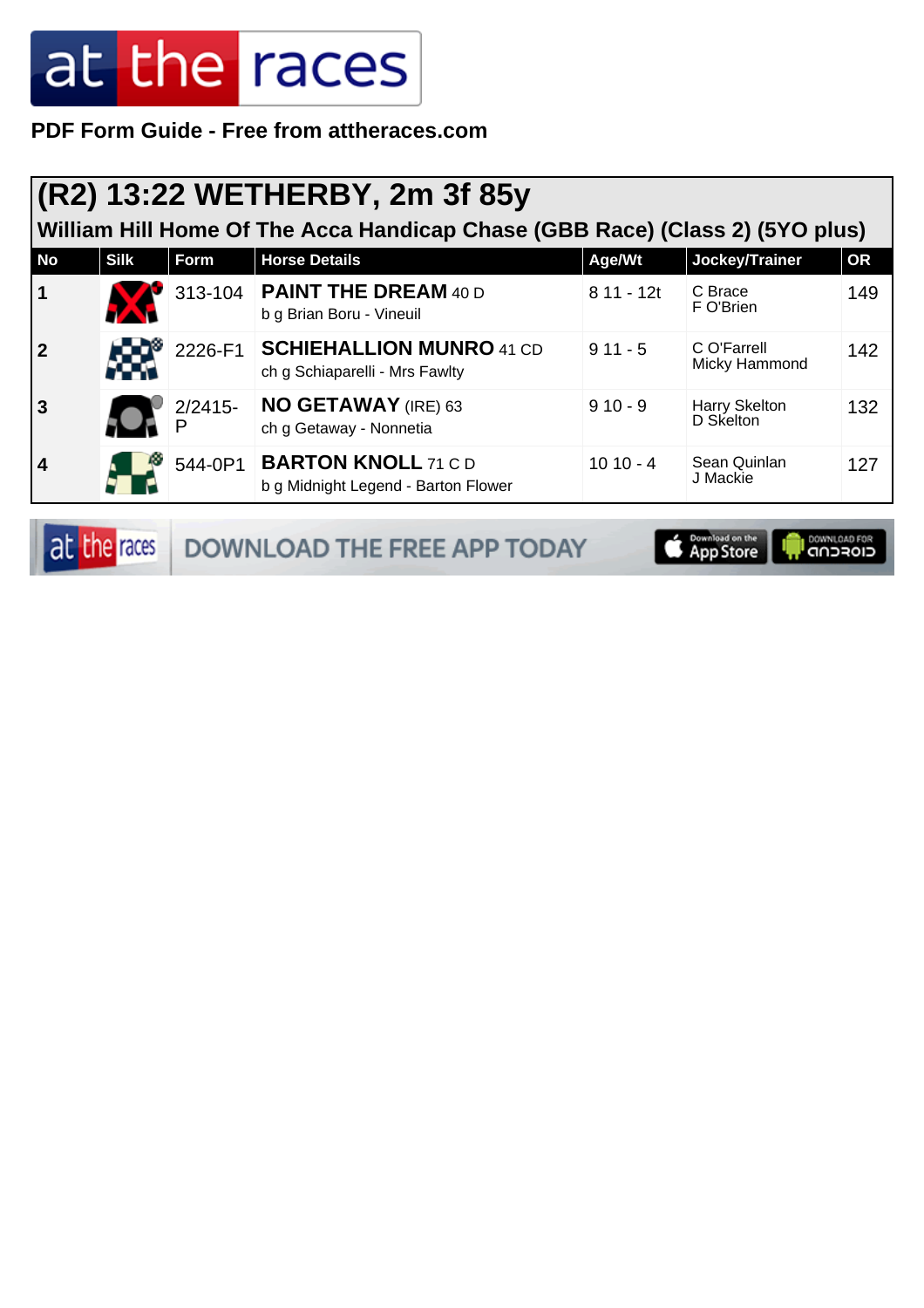**PDF Form Guide - Free from attheraces.com**

#### **(R2) 13:22 WETHERBY, 2m 3f 85y**

**William Hill Home Of The Acca Handicap Chase (GBB Race) (Class 2) (5YO plus)**

| <b>No</b>               | <b>Silk</b> | <b>Form</b> | <b>Horse Details</b>                                              | Age/Wt      | Jockey/Trainer               | <b>OR</b> |
|-------------------------|-------------|-------------|-------------------------------------------------------------------|-------------|------------------------------|-----------|
| $\vert$ 1               |             |             | 313-104 <b>PAINT THE DREAM</b> 40 D<br>b g Brian Boru - Vineuil   | $811 - 12t$ | C Brace<br>F O'Brien         | 149       |
| $\overline{\mathbf{2}}$ |             | 2226-F1     | <b>SCHIEHALLION MUNRO 41 CD</b><br>ch g Schiaparelli - Mrs Fawlty | $911 - 5$   | C O'Farrell<br>Micky Hammond | 142       |
| 3                       |             | $2/2415 -$  | <b>NO GETAWAY</b> (IRE) 63<br>ch g Getaway - Nonnetia             | $910 - 9$   | Harry Skelton<br>D Skelton   | 132       |
| 4                       |             | 544-0P1     | <b>BARTON KNOLL 71 C D</b><br>b g Midnight Legend - Barton Flower | $1010 - 4$  | Sean Quinlan<br>J Mackie     | 127       |

at the races **DOWNLOAD THE FREE APP TODAY**